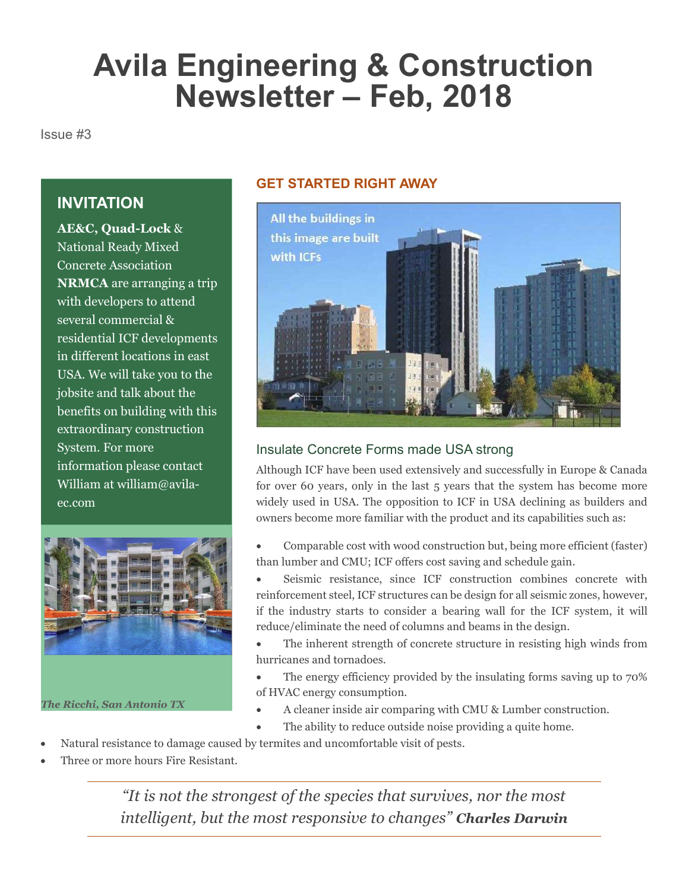# Avila Engineering & Construction Newsletter – Feb, 2018

Issue #3

### **INVITATION**

AE&C, Quad-Lock & National Ready Mixed Concrete Association NRMCA are arranging a trip with developers to attend several commercial & residential ICF developments in different locations in east USA. We will take you to the jobsite and talk about the benefits on building with this extraordinary construction System. For more information please contact William at william@avilaec.com



The Ricchi, San Antonio TX

#### GET STARTED RIGHT AWAY



#### Insulate Concrete Forms made USA strong

Although ICF have been used extensively and successfully in Europe & Canada for over 60 years, only in the last 5 years that the system has become more widely used in USA. The opposition to ICF in USA declining as builders and owners become more familiar with the product and its capabilities such as:

- Comparable cost with wood construction but, being more efficient (faster) than lumber and CMU; ICF offers cost saving and schedule gain.
- Seismic resistance, since ICF construction combines concrete with reinforcement steel, ICF structures can be design for all seismic zones, however, if the industry starts to consider a bearing wall for the ICF system, it will reduce/eliminate the need of columns and beams in the design.
- The inherent strength of concrete structure in resisting high winds from hurricanes and tornadoes.
- The energy efficiency provided by the insulating forms saving up to 70% of HVAC energy consumption.
- A cleaner inside air comparing with CMU & Lumber construction.
- The ability to reduce outside noise providing a quite home.
- Natural resistance to damage caused by termites and uncomfortable visit of pests.
- Three or more hours Fire Resistant.

"It is not the strongest of the species that survives, nor the most intelligent, but the most responsive to changes" Charles Darwin